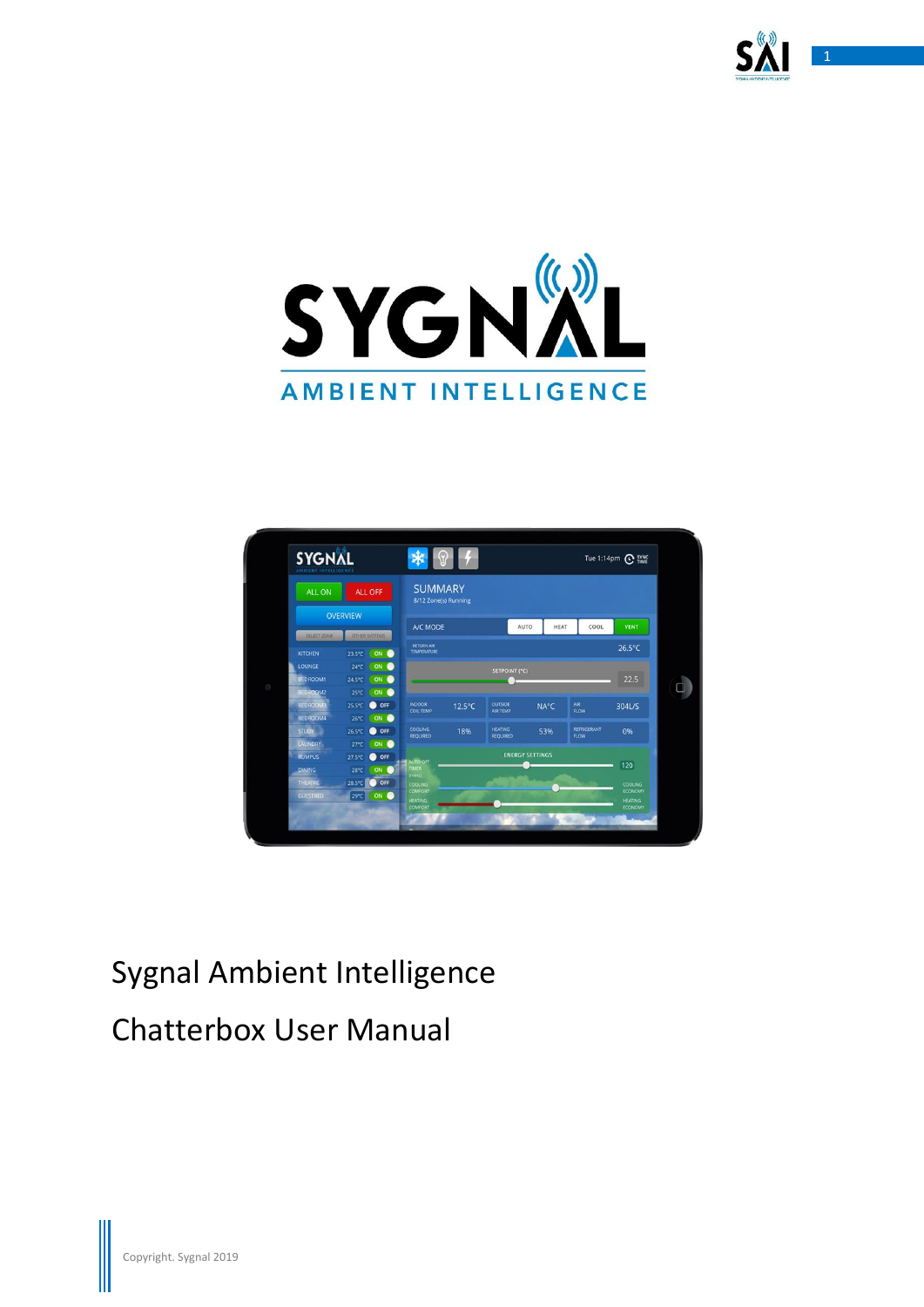





# Sygnal Ambient Intelligence Chatterbox User Manual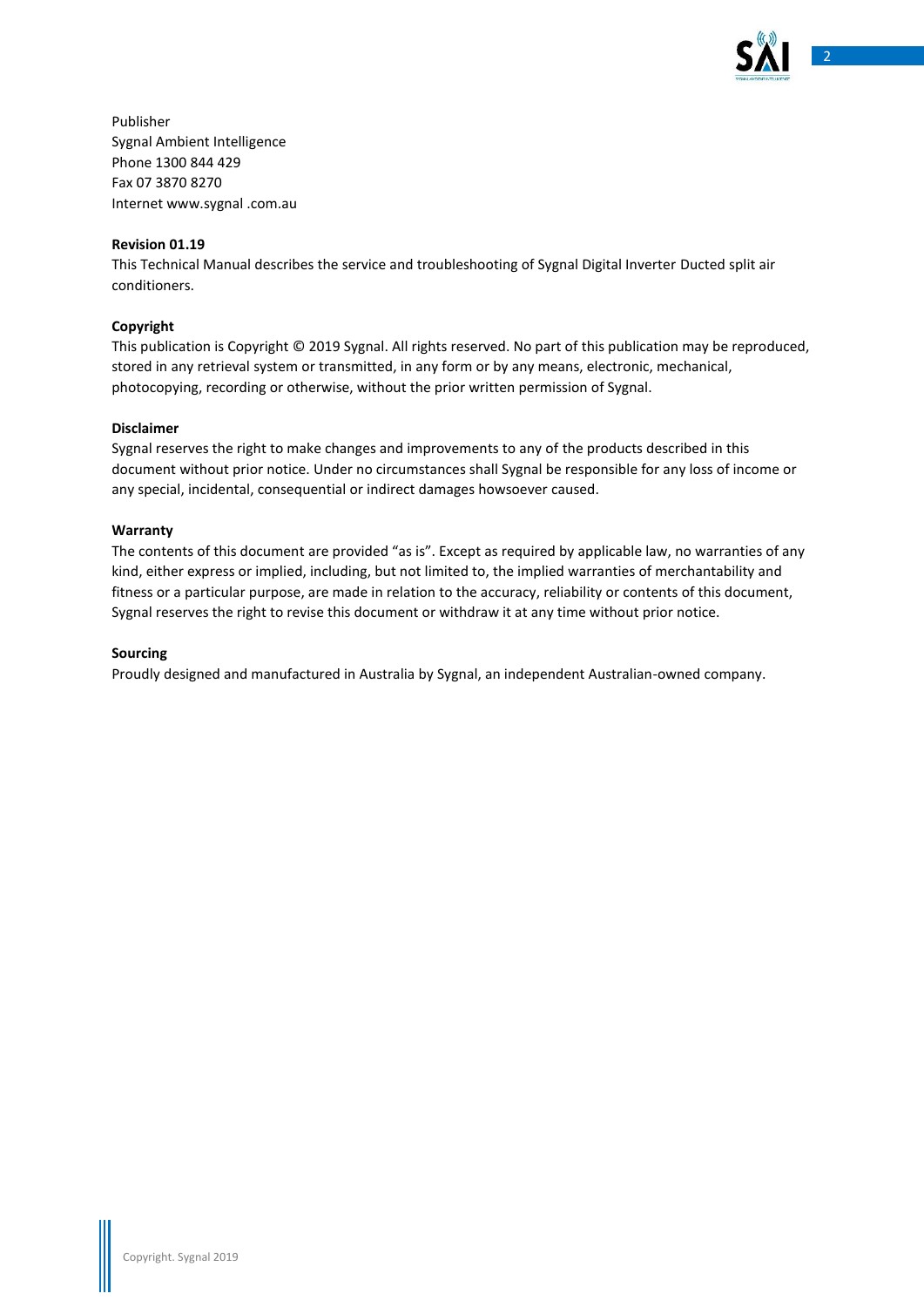

Publisher Sygnal Ambient Intelligence Phone 1300 844 429 Fax 07 3870 8270 Internet www.sygnal .com.au

#### **Revision 01.19**

This Technical Manual describes the service and troubleshooting of Sygnal Digital Inverter Ducted split air conditioners.

#### **Copyright**

This publication is Copyright © 2019 Sygnal. All rights reserved. No part of this publication may be reproduced, stored in any retrieval system or transmitted, in any form or by any means, electronic, mechanical, photocopying, recording or otherwise, without the prior written permission of Sygnal.

#### **Disclaimer**

Sygnal reserves the right to make changes and improvements to any of the products described in this document without prior notice. Under no circumstances shall Sygnal be responsible for any loss of income or any special, incidental, consequential or indirect damages howsoever caused.

#### **Warranty**

The contents of this document are provided "as is". Except as required by applicable law, no warranties of any kind, either express or implied, including, but not limited to, the implied warranties of merchantability and fitness or a particular purpose, are made in relation to the accuracy, reliability or contents of this document, Sygnal reserves the right to revise this document or withdraw it at any time without prior notice.

#### **Sourcing**

Proudly designed and manufactured in Australia by Sygnal, an independent Australian-owned company.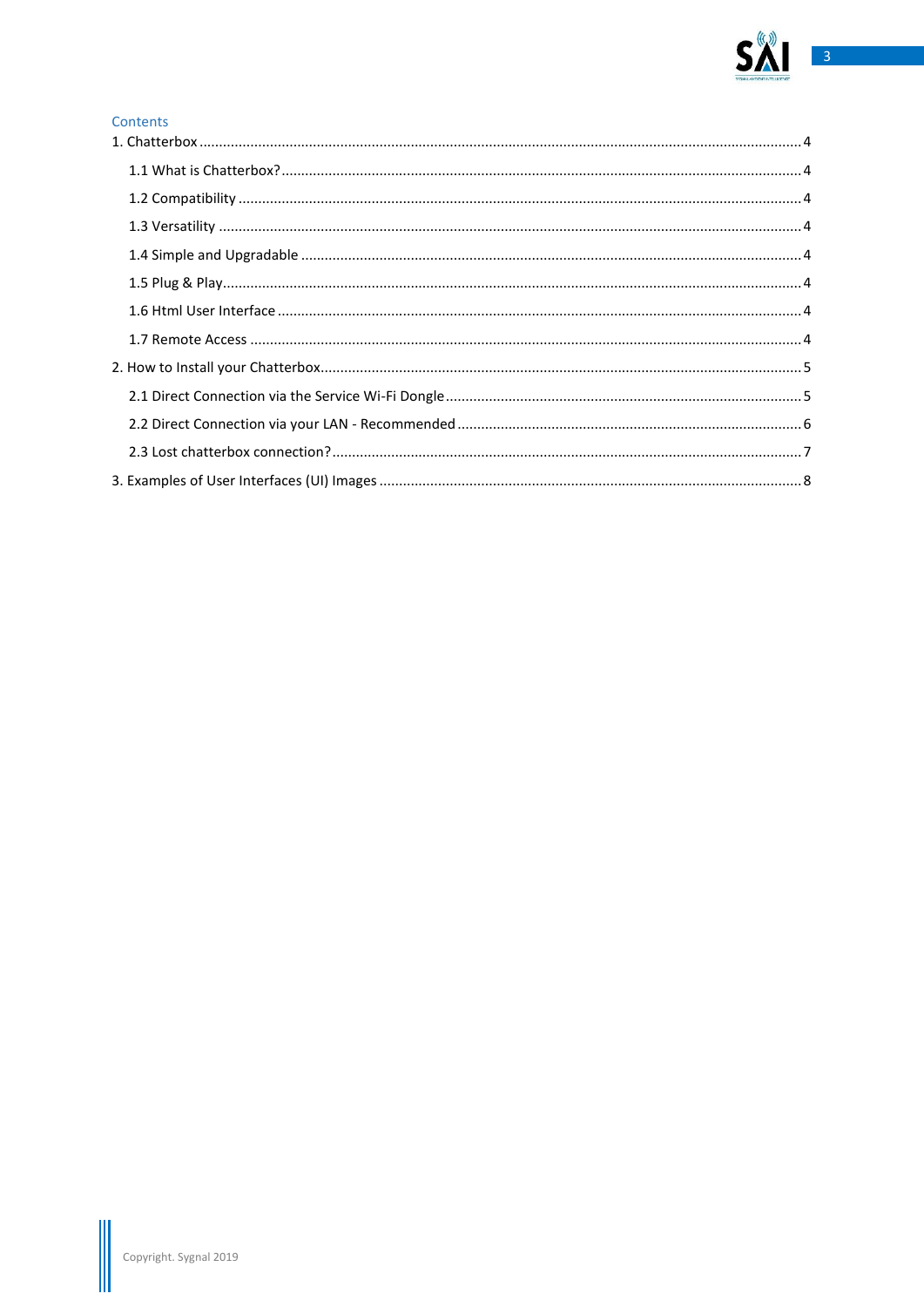

#### Contents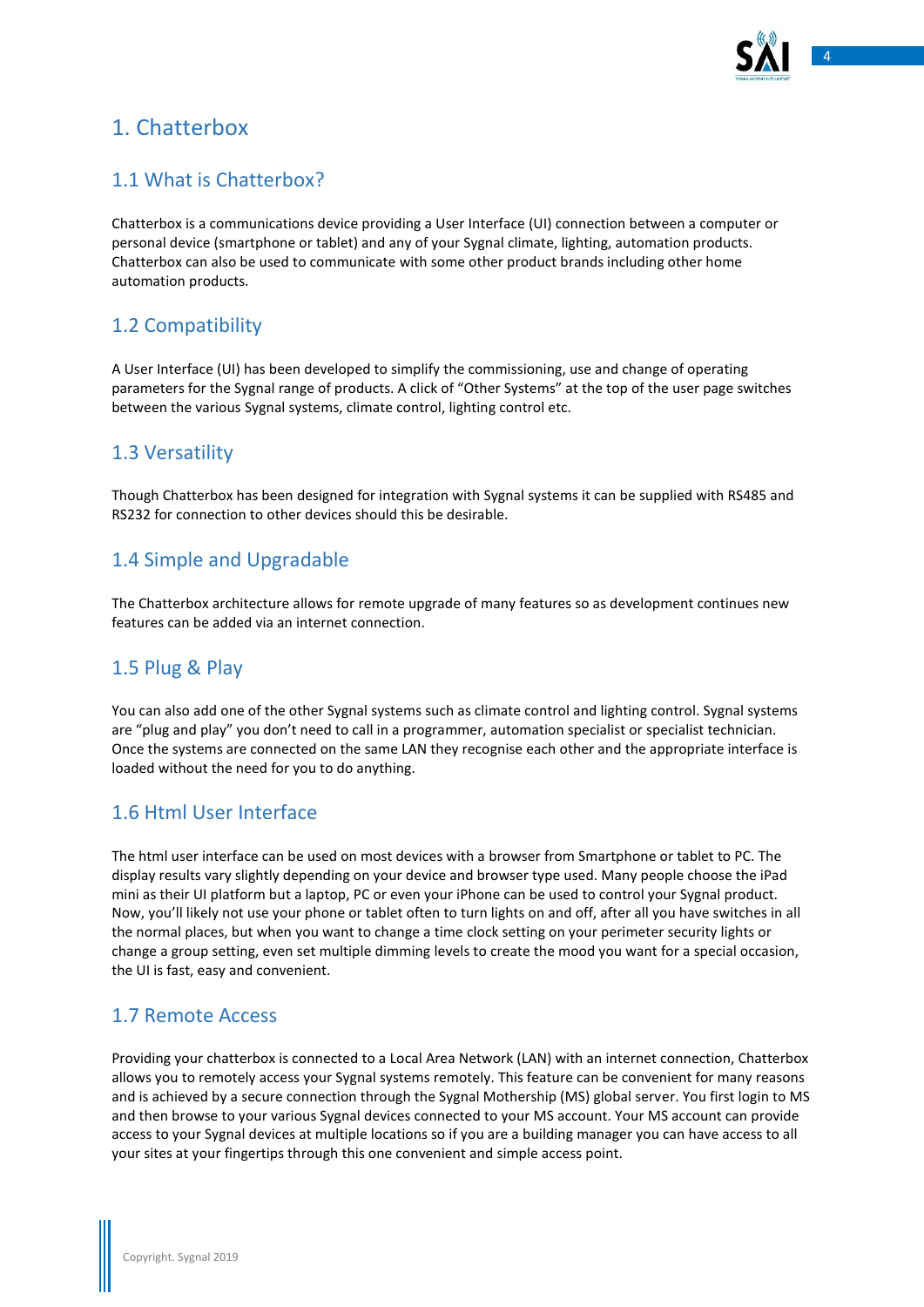

# <span id="page-3-0"></span>1. Chatterbox

## <span id="page-3-1"></span>1.1 What is Chatterbox?

Chatterbox is a communications device providing a User Interface (UI) connection between a computer or personal device (smartphone or tablet) and any of your Sygnal climate, lighting, automation products. Chatterbox can also be used to communicate with some other product brands including other home automation products.

# <span id="page-3-2"></span>1.2 Compatibility

A User Interface (UI) has been developed to simplify the commissioning, use and change of operating parameters for the Sygnal range of products. A click of "Other Systems" at the top of the user page switches between the various Sygnal systems, climate control, lighting control etc.

#### <span id="page-3-3"></span>1.3 Versatility

Though Chatterbox has been designed for integration with Sygnal systems it can be supplied with RS485 and RS232 for connection to other devices should this be desirable.

### <span id="page-3-4"></span>1.4 Simple and Upgradable

The Chatterbox architecture allows for remote upgrade of many features so as development continues new features can be added via an internet connection.

## <span id="page-3-5"></span>1.5 Plug & Play

You can also add one of the other Sygnal systems such as climate control and lighting control. Sygnal systems are "plug and play" you don't need to call in a programmer, automation specialist or specialist technician. Once the systems are connected on the same LAN they recognise each other and the appropriate interface is loaded without the need for you to do anything.

## <span id="page-3-6"></span>1.6 Html User Interface

The html user interface can be used on most devices with a browser from Smartphone or tablet to PC. The display results vary slightly depending on your device and browser type used. Many people choose the iPad mini as their UI platform but a laptop, PC or even your iPhone can be used to control your Sygnal product. Now, you'll likely not use your phone or tablet often to turn lights on and off, after all you have switches in all the normal places, but when you want to change a time clock setting on your perimeter security lights or change a group setting, even set multiple dimming levels to create the mood you want for a special occasion, the UI is fast, easy and convenient.

### <span id="page-3-7"></span>1.7 Remote Access

Providing your chatterbox is connected to a Local Area Network (LAN) with an internet connection, Chatterbox allows you to remotely access your Sygnal systems remotely. This feature can be convenient for many reasons and is achieved by a secure connection through the Sygnal Mothership (MS) global server. You first login to MS and then browse to your various Sygnal devices connected to your MS account. Your MS account can provide access to your Sygnal devices at multiple locations so if you are a building manager you can have access to all your sites at your fingertips through this one convenient and simple access point.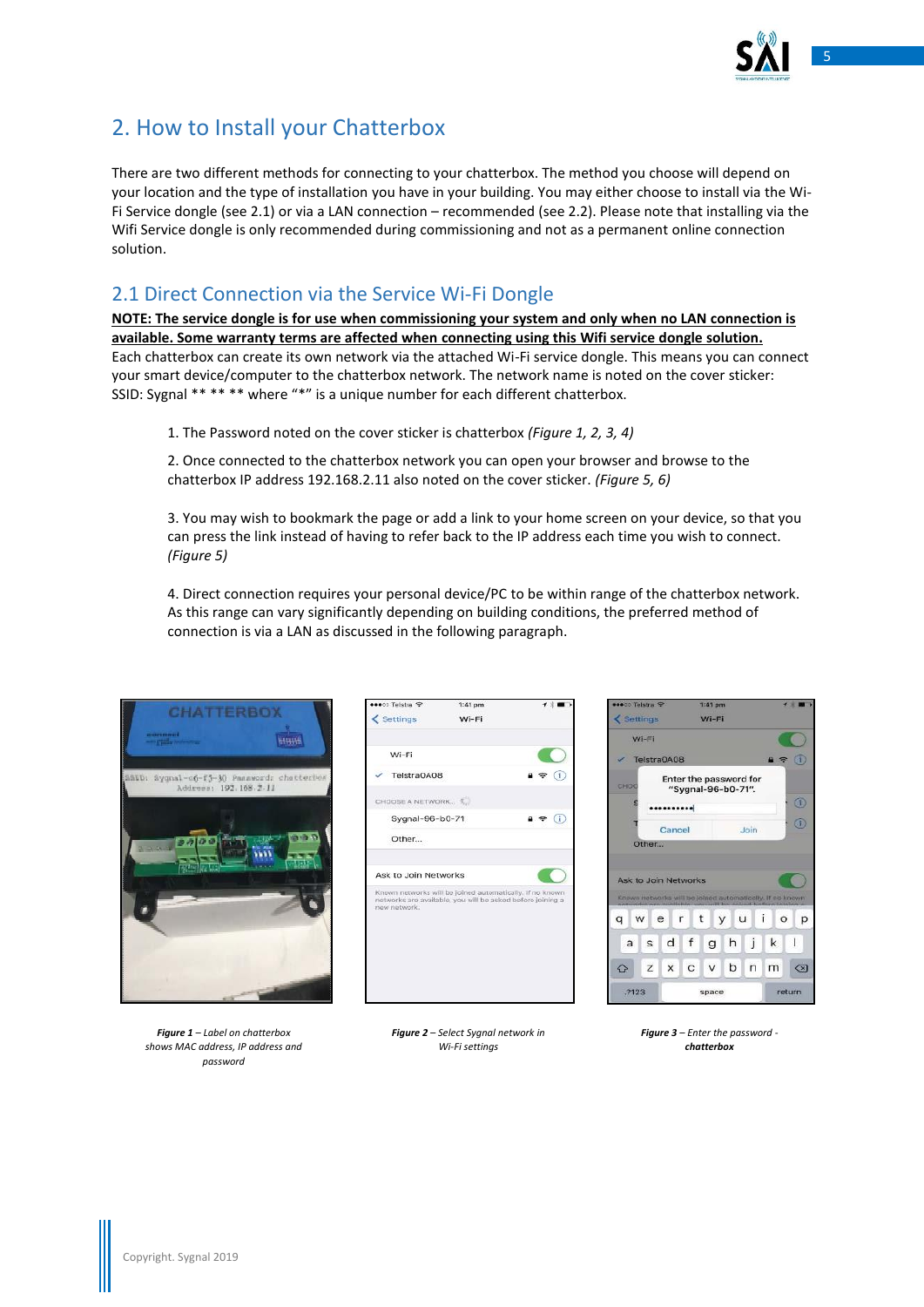

# <span id="page-4-0"></span>2. How to Install your Chatterbox

There are two different methods for connecting to your chatterbox. The method you choose will depend on your location and the type of installation you have in your building. You may either choose to install via the Wi-Fi Service dongle (see 2.1) or via a LAN connection – recommended (see 2.2). Please note that installing via the Wifi Service dongle is only recommended during commissioning and not as a permanent online connection solution.

### <span id="page-4-1"></span>2.1 Direct Connection via the Service Wi-Fi Dongle

**NOTE: The service dongle is for use when commissioning your system and only when no LAN connection is available. Some warranty terms are affected when connecting using this Wifi service dongle solution.** Each chatterbox can create its own network via the attached Wi-Fi service dongle. This means you can connect your smart device/computer to the chatterbox network. The network name is noted on the cover sticker: SSID: Sygnal \*\* \*\* \*\* where "\*" is a unique number for each different chatterbox.

1. The Password noted on the cover sticker is chatterbox *(Figure 1, 2, 3, 4)*

2. Once connected to the chatterbox network you can open your browser and browse to the chatterbox IP address 192.168.2.11 also noted on the cover sticker. *(Figure 5, 6)*

3. You may wish to bookmark the page or add a link to your home screen on your device, so that you can press the link instead of having to refer back to the IP address each time you wish to connect. *(Figure 5)*

4. Direct connection requires your personal device/PC to be within range of the chatterbox network. As this range can vary significantly depending on building conditions, the preferred method of connection is via a LAN as discussed in the following paragraph.



*Figure 1 – Label on chatterbox shows MAC address, IP address and password*

| ●●○○ Telstra 字                                                                                                                         | $1:41$ pm |   |
|----------------------------------------------------------------------------------------------------------------------------------------|-----------|---|
| < Settings                                                                                                                             | Wi-Fi     |   |
| Wi-Fi                                                                                                                                  |           |   |
| Telstra0A08                                                                                                                            |           | Œ |
| CHOOSE A NETWORK.                                                                                                                      |           |   |
| Sygnal-96-b0-71                                                                                                                        |           | ī |
| Other                                                                                                                                  |           |   |
|                                                                                                                                        |           |   |
| Ask to Join Networks                                                                                                                   |           |   |
| Known networks will be joined automatically. If no known<br>networks are available, you will be asked before joining a<br>mow network. |           |   |
|                                                                                                                                        |           |   |
|                                                                                                                                        |           |   |
|                                                                                                                                        |           |   |
|                                                                                                                                        |           |   |



*Figure 2 – Select Sygnal network in Wi-Fi settings*

*Figure 3 – Enter the password chatterbox*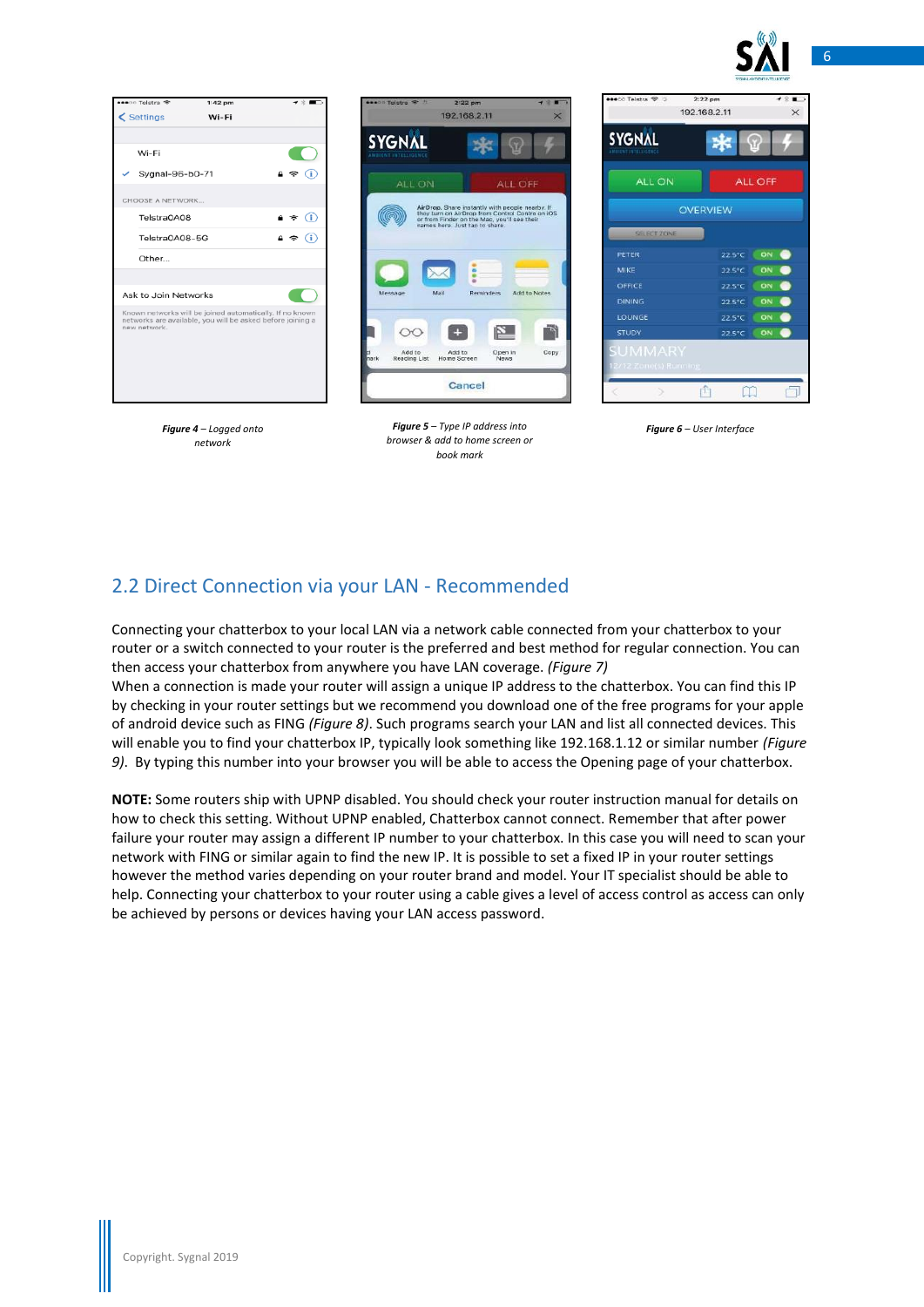



*Figure 4 – Logged onto network*



*Figure 5 – Type IP address into browser & add to home screen or book mark*

| <b>SYGNAL</b>   |                |  |  |  |  |  |
|-----------------|----------------|--|--|--|--|--|
|                 | ନ୍ଦ            |  |  |  |  |  |
| ALL ON          | <b>ALL OFF</b> |  |  |  |  |  |
| <b>OVERVIEW</b> |                |  |  |  |  |  |
| SELECT ZONE     |                |  |  |  |  |  |
| PETER           | ON<br>22.5°C   |  |  |  |  |  |
| MIKE            | ON<br>22.5°C   |  |  |  |  |  |
| OFFICE          | ON<br>22.5°C   |  |  |  |  |  |
| <b>DINING</b>   | ON<br>22.5°C   |  |  |  |  |  |
| LOUNGE          | ON<br>22.5°C   |  |  |  |  |  |
| <b>STUDY</b>    | ON<br>22.5°C   |  |  |  |  |  |

*Figure 6 – User Interface* 

## <span id="page-5-0"></span>2.2 Direct Connection via your LAN - Recommended

Connecting your chatterbox to your local LAN via a network cable connected from your chatterbox to your router or a switch connected to your router is the preferred and best method for regular connection. You can then access your chatterbox from anywhere you have LAN coverage. *(Figure 7)*

When a connection is made your router will assign a unique IP address to the chatterbox. You can find this IP by checking in your router settings but we recommend you download one of the free programs for your apple of android device such as FING *(Figure 8)*. Such programs search your LAN and list all connected devices. This will enable you to find your chatterbox IP, typically look something like 192.168.1.12 or similar number *(Figure 9)*. By typing this number into your browser you will be able to access the Opening page of your chatterbox.

**NOTE:** Some routers ship with UPNP disabled. You should check your router instruction manual for details on how to check this setting. Without UPNP enabled, Chatterbox cannot connect. Remember that after power failure your router may assign a different IP number to your chatterbox. In this case you will need to scan your network with FING or similar again to find the new IP. It is possible to set a fixed IP in your router settings however the method varies depending on your router brand and model. Your IT specialist should be able to help. Connecting your chatterbox to your router using a cable gives a level of access control as access can only be achieved by persons or devices having your LAN access password.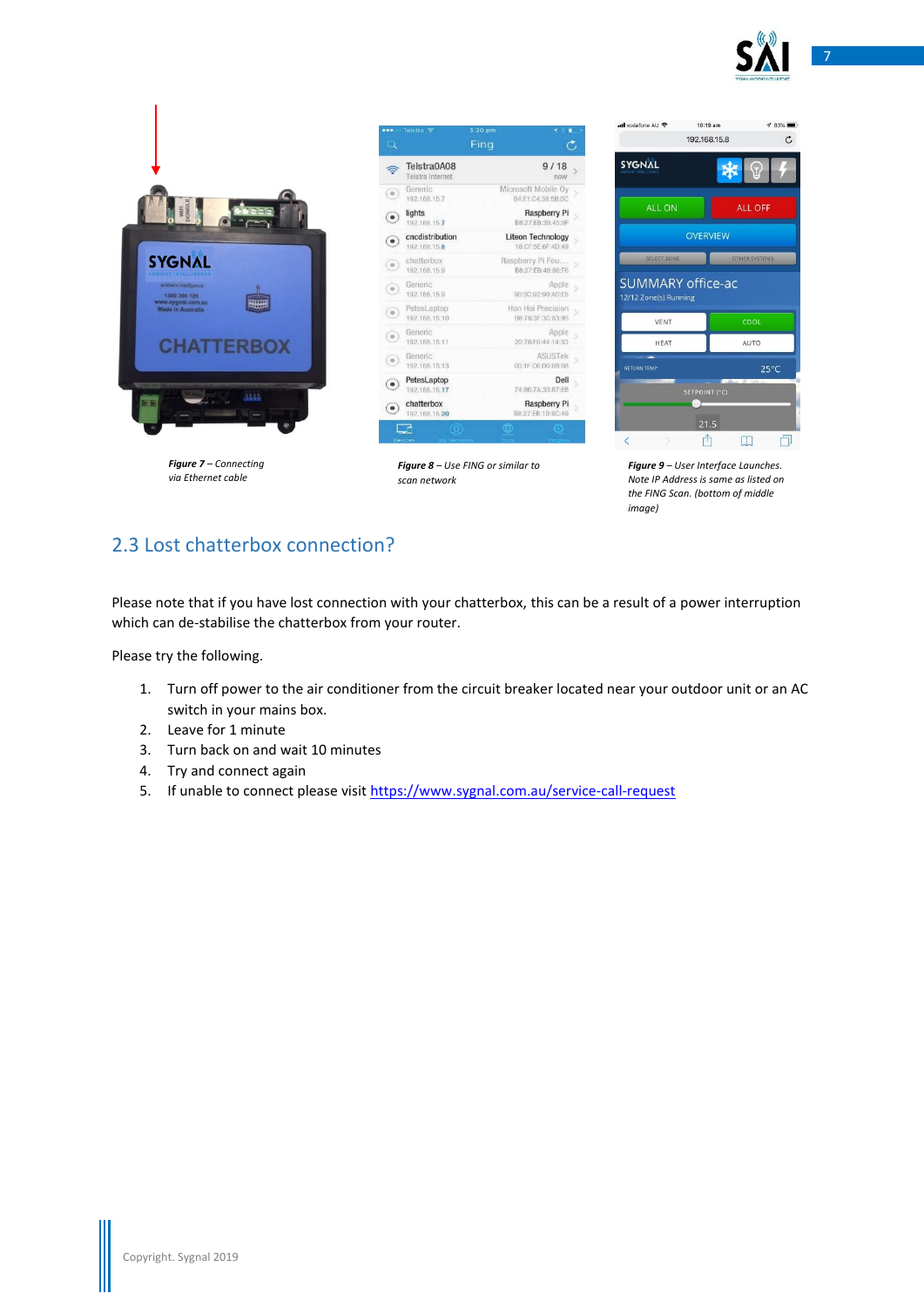

7



*Figure 7 – Connecting via Ethernet cable*

|            | ••• o Telstra 全                      | $3:20$ pm                                     |  |  |  |  |
|------------|--------------------------------------|-----------------------------------------------|--|--|--|--|
| $\alpha$   |                                      | Fing                                          |  |  |  |  |
|            | Telstra0A08<br>Telstra Internet      | 9/18<br>now                                   |  |  |  |  |
| $\circ$    | Generic<br>192.168.15.7              | Microsoft Mobile Ov<br>B4:E1:C4:38:5B:DC      |  |  |  |  |
|            | lights<br>192.168.15.7               | <b>Raspberry Pi</b><br>B8:27:EB:39:45:9F      |  |  |  |  |
|            | cncdistribution<br>192.168.15.8      | <b>Liteon Technology</b><br>18:CF:5E:6F:4D:49 |  |  |  |  |
| $_{\odot}$ | chatterbox<br>192.168.15.9           | Raspberry Pi Fou<br>B8:27:EB:48:86:F6         |  |  |  |  |
| $^\circ$   | Generic<br>192.168.15.9              | Apple<br>90:3C:92:90:AD:E5                    |  |  |  |  |
| $\circ$    | PetesLaptop<br>192.168.15.10         | Hon Hai Precision<br>B8:76:3F:3C:83:95        |  |  |  |  |
| ¢.         | Generic<br>192.168.15.11             | Apple<br>20:78:F0:44:14:30                    |  |  |  |  |
|            | Generic<br>192.168.15.13             | ASUSTek<br>00:1F:C6:D0:6B:08                  |  |  |  |  |
|            | PetesLaptop<br>192.168.15.17         | Dell<br>74:86:7A:33:B7:EB                     |  |  |  |  |
|            | chatterbox<br>192.168.15.20          | <b>Raspberry Pi</b><br>B8:27:EB:1D:6C:49      |  |  |  |  |
|            | (0)<br>My Networks<br><b>Devices</b> | <b>CO</b>                                     |  |  |  |  |

*Figure 8 – Use FING or similar to scan network*

| ull vodafone AU 증                                 | 10:19 am             | <b>1 83%</b>         |
|---------------------------------------------------|----------------------|----------------------|
|                                                   | 192.168.15.8         | Ċ                    |
| <b>SYGNAL</b>                                     |                      |                      |
| ALL ON                                            |                      | <b>ALL OFF</b>       |
|                                                   | <b>OVERVIEW</b>      |                      |
| <b>SELECT ZONE</b>                                |                      | <b>OTHER SYSTEMS</b> |
| <b>SUMMARY office-ac</b><br>12/12 Zone(s) Running |                      |                      |
| <b>VENT</b>                                       |                      | COOL                 |
|                                                   |                      |                      |
| <b>HEAT</b>                                       |                      | AUTO                 |
| <b>RETURN TEMP</b>                                |                      | $25^{\circ}$ C       |
|                                                   | <b>SETPOINT (°C)</b> |                      |
|                                                   |                      |                      |
| Č                                                 | 21.5                 |                      |

*Figure 9 – User Interface Launches. Note IP Address is same as listed on the FING Scan. (bottom of middle image)*

# <span id="page-6-0"></span>2.3 Lost chatterbox connection?

Please note that if you have lost connection with your chatterbox, this can be a result of a power interruption which can de-stabilise the chatterbox from your router.

Please try the following.

- 1. Turn off power to the air conditioner from the circuit breaker located near your outdoor unit or an AC switch in your mains box.
- 2. Leave for 1 minute
- 3. Turn back on and wait 10 minutes
- 4. Try and connect again
- 5. If unable to connect please visi[t https://www.sygnal.com.au/service-call-request](https://www.sygnal.com.au/service-call-request)